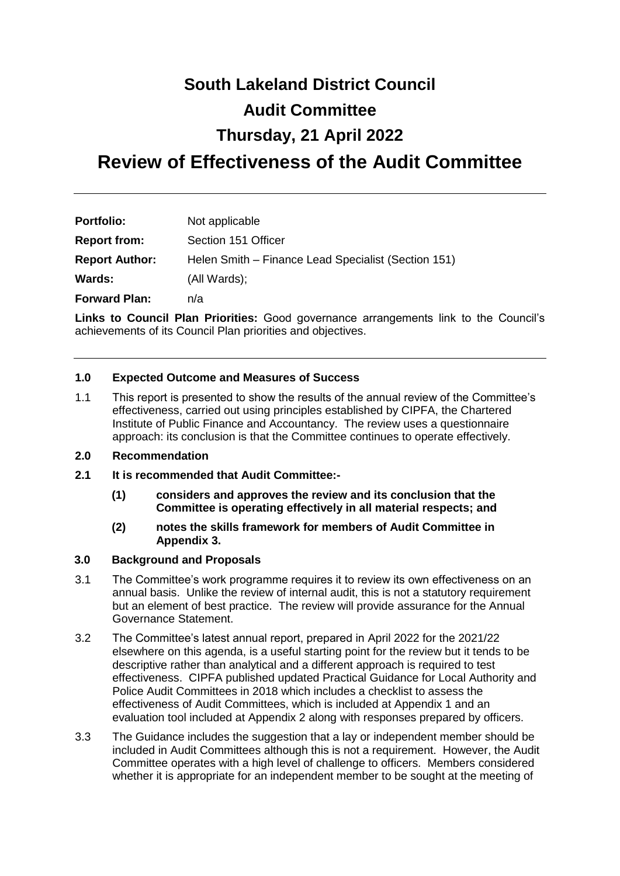# **South Lakeland District Council**

## **Audit Committee**

# **Thursday, 21 April 2022**

# **Review of Effectiveness of the Audit Committee**

| <b>Portfolio:</b>     | Not applicable                                      |
|-----------------------|-----------------------------------------------------|
| <b>Report from:</b>   | Section 151 Officer                                 |
| <b>Report Author:</b> | Helen Smith - Finance Lead Specialist (Section 151) |
| Wards:                | (All Wards);                                        |
| <b>Forward Plan:</b>  | n/a                                                 |

**Links to Council Plan Priorities:** Good governance arrangements link to the Council's achievements of its Council Plan priorities and objectives.

#### **1.0 Expected Outcome and Measures of Success**

1.1 This report is presented to show the results of the annual review of the Committee's effectiveness, carried out using principles established by CIPFA, the Chartered Institute of Public Finance and Accountancy. The review uses a questionnaire approach: its conclusion is that the Committee continues to operate effectively.

#### **2.0 Recommendation**

- **2.1 It is recommended that Audit Committee:-**
	- **(1) considers and approves the review and its conclusion that the Committee is operating effectively in all material respects; and**
	- **(2) notes the skills framework for members of Audit Committee in Appendix 3.**

#### **3.0 Background and Proposals**

- 3.1 The Committee's work programme requires it to review its own effectiveness on an annual basis. Unlike the review of internal audit, this is not a statutory requirement but an element of best practice. The review will provide assurance for the Annual Governance Statement.
- 3.2 The Committee's latest annual report, prepared in April 2022 for the 2021/22 elsewhere on this agenda, is a useful starting point for the review but it tends to be descriptive rather than analytical and a different approach is required to test effectiveness. CIPFA published updated Practical Guidance for Local Authority and Police Audit Committees in 2018 which includes a checklist to assess the effectiveness of Audit Committees, which is included at Appendix 1 and an evaluation tool included at Appendix 2 along with responses prepared by officers.
- 3.3 The Guidance includes the suggestion that a lay or independent member should be included in Audit Committees although this is not a requirement. However, the Audit Committee operates with a high level of challenge to officers. Members considered whether it is appropriate for an independent member to be sought at the meeting of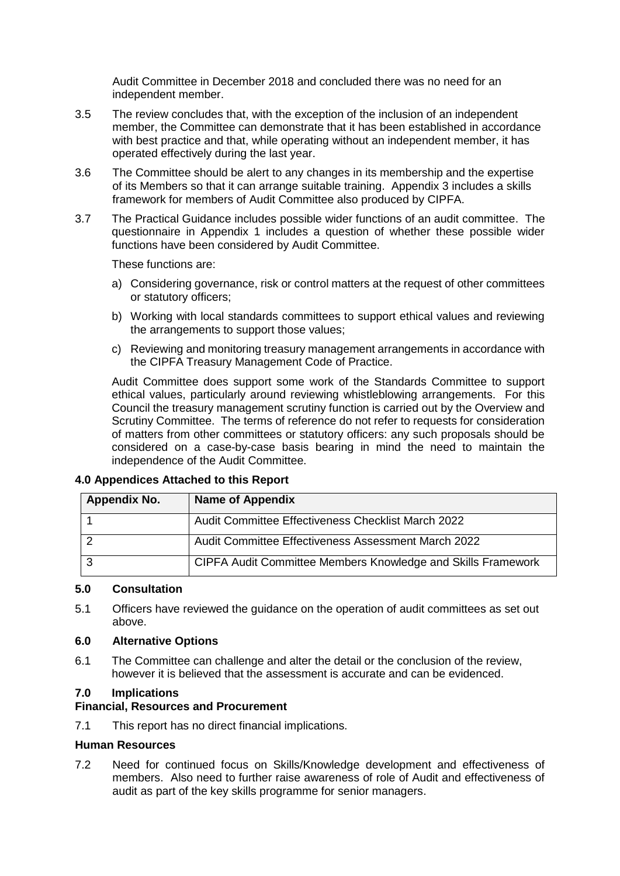Audit Committee in December 2018 and concluded there was no need for an independent member.

- 3.5 The review concludes that, with the exception of the inclusion of an independent member, the Committee can demonstrate that it has been established in accordance with best practice and that, while operating without an independent member, it has operated effectively during the last year.
- 3.6 The Committee should be alert to any changes in its membership and the expertise of its Members so that it can arrange suitable training. Appendix 3 includes a skills framework for members of Audit Committee also produced by CIPFA.
- 3.7 The Practical Guidance includes possible wider functions of an audit committee. The questionnaire in Appendix 1 includes a question of whether these possible wider functions have been considered by Audit Committee.

These functions are:

- a) Considering governance, risk or control matters at the request of other committees or statutory officers;
- b) Working with local standards committees to support ethical values and reviewing the arrangements to support those values;
- c) Reviewing and monitoring treasury management arrangements in accordance with the CIPFA Treasury Management Code of Practice.

Audit Committee does support some work of the Standards Committee to support ethical values, particularly around reviewing whistleblowing arrangements. For this Council the treasury management scrutiny function is carried out by the Overview and Scrutiny Committee. The terms of reference do not refer to requests for consideration of matters from other committees or statutory officers: any such proposals should be considered on a case-by-case basis bearing in mind the need to maintain the independence of the Audit Committee.

| Appendix No. | <b>Name of Appendix</b>                                      |
|--------------|--------------------------------------------------------------|
|              | Audit Committee Effectiveness Checklist March 2022           |
|              | Audit Committee Effectiveness Assessment March 2022          |
|              | CIPFA Audit Committee Members Knowledge and Skills Framework |

#### **4.0 Appendices Attached to this Report**

#### **5.0 Consultation**

5.1 Officers have reviewed the guidance on the operation of audit committees as set out above.

#### **6.0 Alternative Options**

6.1 The Committee can challenge and alter the detail or the conclusion of the review, however it is believed that the assessment is accurate and can be evidenced.

#### **7.0 Implications**

#### **Financial, Resources and Procurement**

7.1 This report has no direct financial implications.

#### **Human Resources**

7.2 Need for continued focus on Skills/Knowledge development and effectiveness of members. Also need to further raise awareness of role of Audit and effectiveness of audit as part of the key skills programme for senior managers.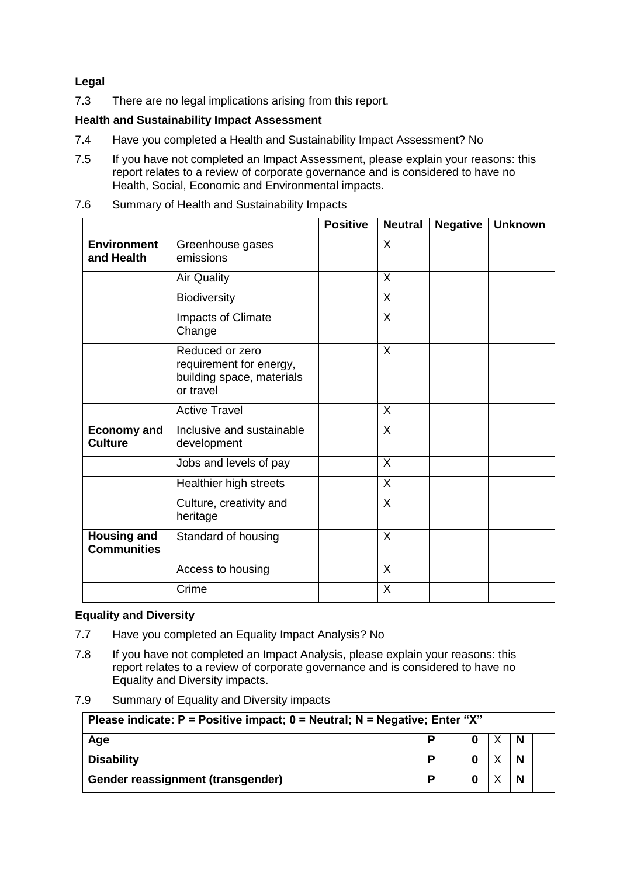### **Legal**

7.3 There are no legal implications arising from this report.

#### **Health and Sustainability Impact Assessment**

- 7.4 Have you completed a Health and Sustainability Impact Assessment? No
- 7.5 If you have not completed an Impact Assessment, please explain your reasons: this report relates to a review of corporate governance and is considered to have no Health, Social, Economic and Environmental impacts.

|                                          |                                                                                      | <b>Positive</b> | <b>Neutral</b> | <b>Negative</b> | <b>Unknown</b> |
|------------------------------------------|--------------------------------------------------------------------------------------|-----------------|----------------|-----------------|----------------|
| <b>Environment</b><br>and Health         | Greenhouse gases<br>emissions                                                        |                 | X              |                 |                |
|                                          | <b>Air Quality</b>                                                                   |                 | X              |                 |                |
|                                          | <b>Biodiversity</b>                                                                  |                 | $\sf X$        |                 |                |
|                                          | Impacts of Climate<br>Change                                                         |                 | $\sf X$        |                 |                |
|                                          | Reduced or zero<br>requirement for energy,<br>building space, materials<br>or travel |                 | $\sf X$        |                 |                |
|                                          | <b>Active Travel</b>                                                                 |                 | X              |                 |                |
| <b>Economy and</b><br><b>Culture</b>     | Inclusive and sustainable<br>development                                             |                 | $\sf X$        |                 |                |
|                                          | Jobs and levels of pay                                                               |                 | X              |                 |                |
|                                          | Healthier high streets                                                               |                 | $\sf X$        |                 |                |
|                                          | Culture, creativity and<br>heritage                                                  |                 | X              |                 |                |
| <b>Housing and</b><br><b>Communities</b> | Standard of housing                                                                  |                 | $\sf X$        |                 |                |
|                                          | Access to housing                                                                    |                 | X              |                 |                |
|                                          | Crime                                                                                |                 | X              |                 |                |

7.6 Summary of Health and Sustainability Impacts

#### **Equality and Diversity**

- 7.7 Have you completed an Equality Impact Analysis? No
- 7.8 If you have not completed an Impact Analysis, please explain your reasons: this report relates to a review of corporate governance and is considered to have no Equality and Diversity impacts.
- 7.9 Summary of Equality and Diversity impacts

| Please indicate: $P =$ Positive impact; $0 =$ Neutral; N = Negative; Enter "X" |   |  |   |  |  |
|--------------------------------------------------------------------------------|---|--|---|--|--|
| Age                                                                            | D |  | 0 |  |  |
| <b>Disability</b>                                                              | D |  |   |  |  |
| Gender reassignment (transgender)                                              | D |  |   |  |  |